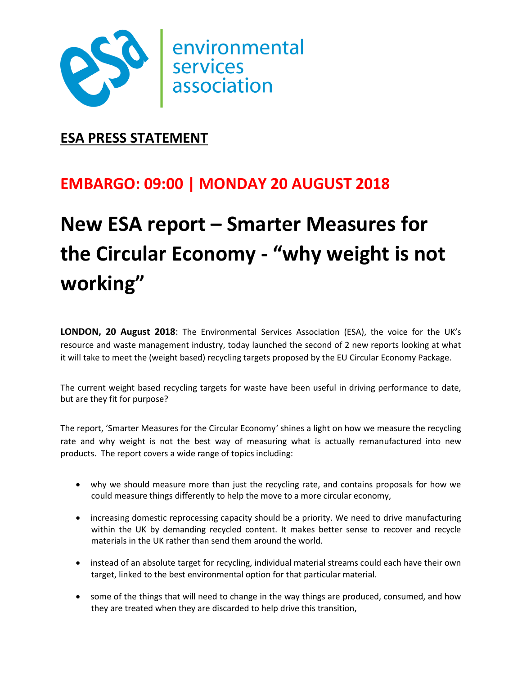

# **ESA PRESS STATEMENT**

# **EMBARGO: 09:00 | MONDAY 20 AUGUST 2018**

# **New ESA report – Smarter Measures for the Circular Economy - "why weight is not working"**

**LONDON, 20 August 2018**: The Environmental Services Association (ESA), the voice for the UK's resource and waste management industry, today launched the second of 2 new reports looking at what it will take to meet the (weight based) recycling targets proposed by the EU Circular Economy Package.

The current weight based recycling targets for waste have been useful in driving performance to date, but are they fit for purpose?

The report, 'Smarter Measures for the Circular Economy*'* shines a light on how we measure the recycling rate and why weight is not the best way of measuring what is actually remanufactured into new products. The report covers a wide range of topics including:

- why we should measure more than just the recycling rate, and contains proposals for how we could measure things differently to help the move to a more circular economy,
- increasing domestic reprocessing capacity should be a priority. We need to drive manufacturing within the UK by demanding recycled content. It makes better sense to recover and recycle materials in the UK rather than send them around the world.
- instead of an absolute target for recycling, individual material streams could each have their own target, linked to the best environmental option for that particular material.
- some of the things that will need to change in the way things are produced, consumed, and how they are treated when they are discarded to help drive this transition,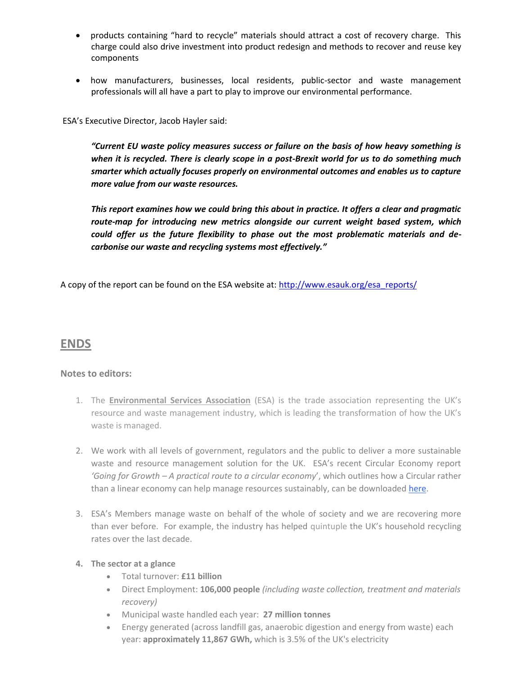- products containing "hard to recycle" materials should attract a cost of recovery charge. This charge could also drive investment into product redesign and methods to recover and reuse key components
- how manufacturers, businesses, local residents, public-sector and waste management professionals will all have a part to play to improve our environmental performance.

ESA's Executive Director, Jacob Hayler said:

*"Current EU waste policy measures success or failure on the basis of how heavy something is when it is recycled. There is clearly scope in a post-Brexit world for us to do something much smarter which actually focuses properly on environmental outcomes and enables us to capture more value from our waste resources.*

*This report examines how we could bring this about in practice. It offers a clear and pragmatic route-map for introducing new metrics alongside our current weight based system, which could offer us the future flexibility to phase out the most problematic materials and decarbonise our waste and recycling systems most effectively."*

A copy of the report can be found on the ESA website at: [http://www.esauk.org/esa\\_reports/](http://www.esauk.org/esa_reports/)

## **ENDS**

### **Notes to editors:**

- 1. The **Environmental Services Association** (ESA) is the trade association representing the UK's resource and waste management industry, which is leading the transformation of how the UK's waste is managed.
- 2. We work with all levels of government, regulators and the public to deliver a more sustainable waste and resource management solution for the UK. ESA's recent Circular Economy report *'Going for Growth – A practical route to a circular economy*', which outlines how a Circular rather than a linear economy can help manage resources sustainably, can be downloaded [here.](http://www.esauk.org/esa_reports/Circular_Economy_Report_FINAL_High_Res_For_Release.pdf)
- 3. ESA's Members manage waste on behalf of the whole of society and we are recovering more than ever before. For example, the industry has helped quintuple the UK's household recycling rates over the last decade.

#### **4. The sector at a glance**

- Total turnover: **£11 billion**
- Direct Employment: **106,000 people** *(including waste collection, treatment and materials recovery)*
- Municipal waste handled each year: **27 million tonnes**
- Energy generated (across landfill gas, anaerobic digestion and energy from waste) each year: **approximately 11,867 GWh,** which is 3.5% of the UK's electricity